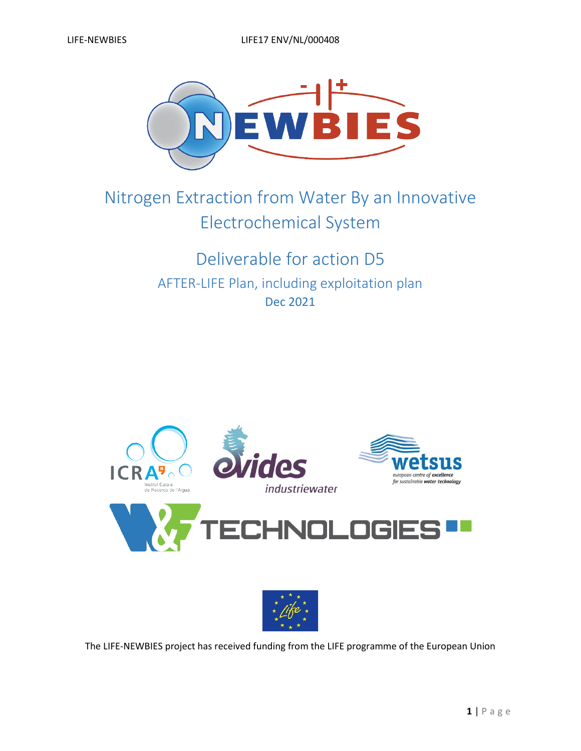

# Nitrogen Extraction from Water By an Innovative Electrochemical System

## Deliverable for action D5 AFTER-LIFE Plan, including exploitation plan Dec 2021





The LIFE-NEWBIES project has received funding from the LIFE programme of the European Union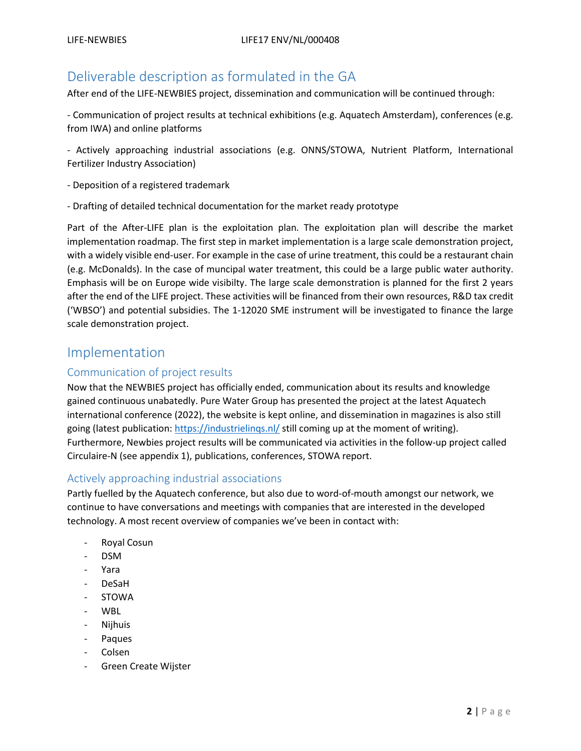## Deliverable description as formulated in the GA

After end of the LIFE-NEWBIES project, dissemination and communication will be continued through:

- Communication of project results at technical exhibitions (e.g. Aquatech Amsterdam), conferences (e.g. from IWA) and online platforms

- Actively approaching industrial associations (e.g. ONNS/STOWA, Nutrient Platform, International Fertilizer Industry Association)

- Deposition of a registered trademark
- Drafting of detailed technical documentation for the market ready prototype

Part of the After-LIFE plan is the exploitation plan. The exploitation plan will describe the market implementation roadmap. The first step in market implementation is a large scale demonstration project, with a widely visible end-user. For example in the case of urine treatment, this could be a restaurant chain (e.g. McDonalds). In the case of muncipal water treatment, this could be a large public water authority. Emphasis will be on Europe wide visibilty. The large scale demonstration is planned for the first 2 years after the end of the LIFE project. These activities will be financed from their own resources, R&D tax credit ('WBSO') and potential subsidies. The 1-12020 SME instrument will be investigated to finance the large scale demonstration project.

### Implementation

#### Communication of project results

Now that the NEWBIES project has officially ended, communication about its results and knowledge gained continuous unabatedly. Pure Water Group has presented the project at the latest Aquatech international conference (2022), the website is kept online, and dissemination in magazines is also still going (latest publication:<https://industrielinqs.nl/> still coming up at the moment of writing). Furthermore, Newbies project results will be communicated via activities in the follow-up project called Circulaire-N (see appendix 1), publications, conferences, STOWA report.

#### Actively approaching industrial associations

Partly fuelled by the Aquatech conference, but also due to word-of-mouth amongst our network, we continue to have conversations and meetings with companies that are interested in the developed technology. A most recent overview of companies we've been in contact with:

- Royal Cosun
- DSM
- Yara
- DeSaH
- STOWA
- WBL
- Nijhuis
- Paques
- Colsen
- Green Create Wijster